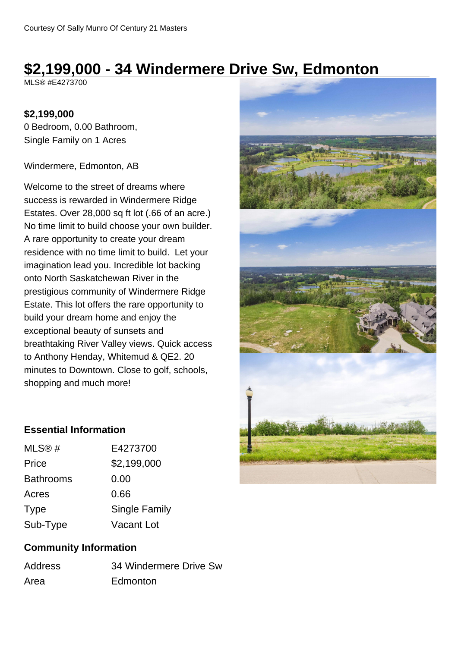# **\$2,199,000 - 34 Windermere Drive Sw, Edmonton**

MLS® #E4273700

#### **\$2,199,000**

0 Bedroom, 0.00 Bathroom, Single Family on 1 Acres

Windermere, Edmonton, AB

Welcome to the street of dreams where success is rewarded in Windermere Ridge Estates. Over 28,000 sq ft lot (.66 of an acre.) No time limit to build choose your own builder. A rare opportunity to create your dream residence with no time limit to build. Let your imagination lead you. Incredible lot backing onto North Saskatchewan River in the prestigious community of Windermere Ridge Estate. This lot offers the rare opportunity to build your dream home and enjoy the exceptional beauty of sunsets and breathtaking River Valley views. Quick access to Anthony Henday, Whitemud & QE2. 20 minutes to Downtown. Close to golf, schools, shopping and much more!



#### **Essential Information**

| MLS@#            | E4273700      |
|------------------|---------------|
| Price            | \$2,199,000   |
| <b>Bathrooms</b> | 0.00          |
| Acres            | 0.66          |
| <b>Type</b>      | Single Family |
| Sub-Type         | Vacant Lot    |

## **Community Information**

| Address | 34 Windermere Drive Sw |
|---------|------------------------|
| Area    | Edmonton               |